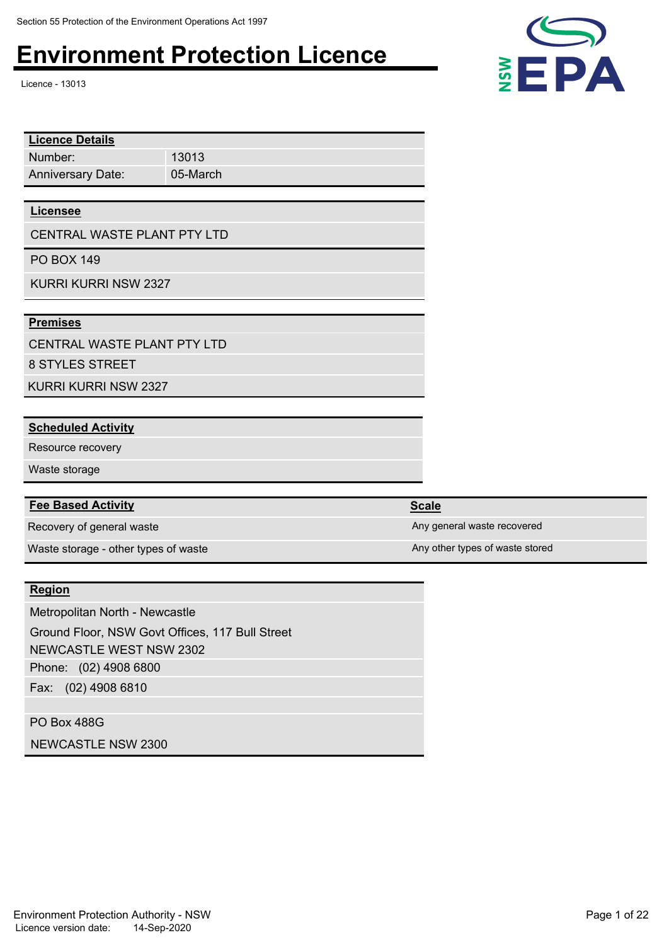Licence - 13013

| <b>Licence Details</b>      |          |  |
|-----------------------------|----------|--|
| Number:                     | 13013    |  |
| <b>Anniversary Date:</b>    | 05-March |  |
|                             |          |  |
| <b>Licensee</b>             |          |  |
| CENTRAL WASTE PLANT PTY LTD |          |  |
| <b>PO BOX 149</b>           |          |  |
| KURRI KURRI NSW 2327        |          |  |

#### **Premises**

CENTRAL WASTE PLANT PTY LTD

8 STYLES STREET

KURRI KURRI NSW 2327

#### **Scheduled Activity**

Resource recovery

Waste storage

#### **Fee Based Activity Scale Scale Scale Scale**

Recovery of general waste Any general waste Any general waste recovered

Waste storage - other types of waste Any other types of waste stored

#### **Region**

Phone: (02) 4908 6800 Fax: (02) 4908 6810 Metropolitan North - Newcastle Ground Floor, NSW Govt Offices, 117 Bull Street NEWCASTLE WEST NSW 2302

PO Box 488G NEWCASTLE NSW 2300 EPA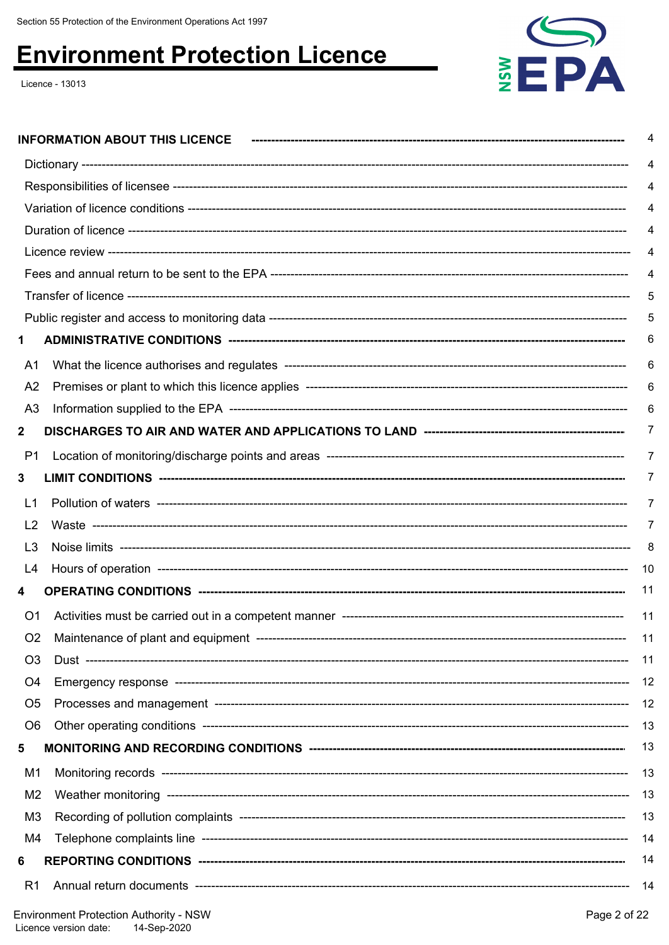Licence - 13013



|                | <b>INFORMATION ABOUT THIS LICENCE</b>                                |          |
|----------------|----------------------------------------------------------------------|----------|
|                |                                                                      |          |
|                |                                                                      |          |
|                |                                                                      |          |
|                |                                                                      |          |
|                |                                                                      |          |
|                |                                                                      |          |
|                |                                                                      | 5        |
|                |                                                                      |          |
| 1              |                                                                      | 6        |
| A1             |                                                                      | 6        |
| A <sub>2</sub> |                                                                      | 6        |
| A <sub>3</sub> |                                                                      |          |
| $\mathbf{2}$   |                                                                      | 7        |
| P <sub>1</sub> |                                                                      | 7        |
| 3              |                                                                      | $\prime$ |
| L <sub>1</sub> |                                                                      | 7        |
| L <sub>2</sub> |                                                                      | 7        |
| L <sub>3</sub> |                                                                      | 8        |
| L4             |                                                                      | 10       |
| 4              |                                                                      | 11       |
| O <sub>1</sub> |                                                                      | 11       |
| O <sub>2</sub> |                                                                      | -11      |
| O <sub>3</sub> |                                                                      | 11       |
| O4             |                                                                      | 12       |
| O <sub>5</sub> |                                                                      | -12      |
| O <sub>6</sub> |                                                                      | -13      |
| 5              |                                                                      | 13       |
| M1             |                                                                      | 13       |
| M <sub>2</sub> |                                                                      |          |
| M <sub>3</sub> |                                                                      | 13       |
| M4             |                                                                      | -14      |
| 6              |                                                                      | 14       |
| R <sub>1</sub> |                                                                      | - 14     |
|                | $\Box$ pyironmont Protoction Authority $\angle$ NISIM<br>Dao 2 of 22 |          |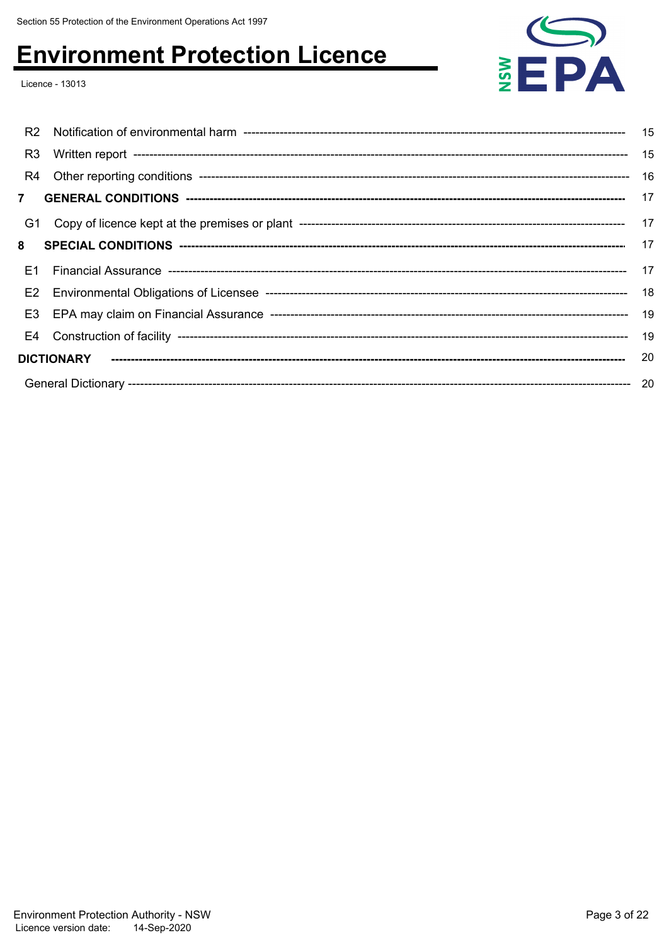Licence - 13013



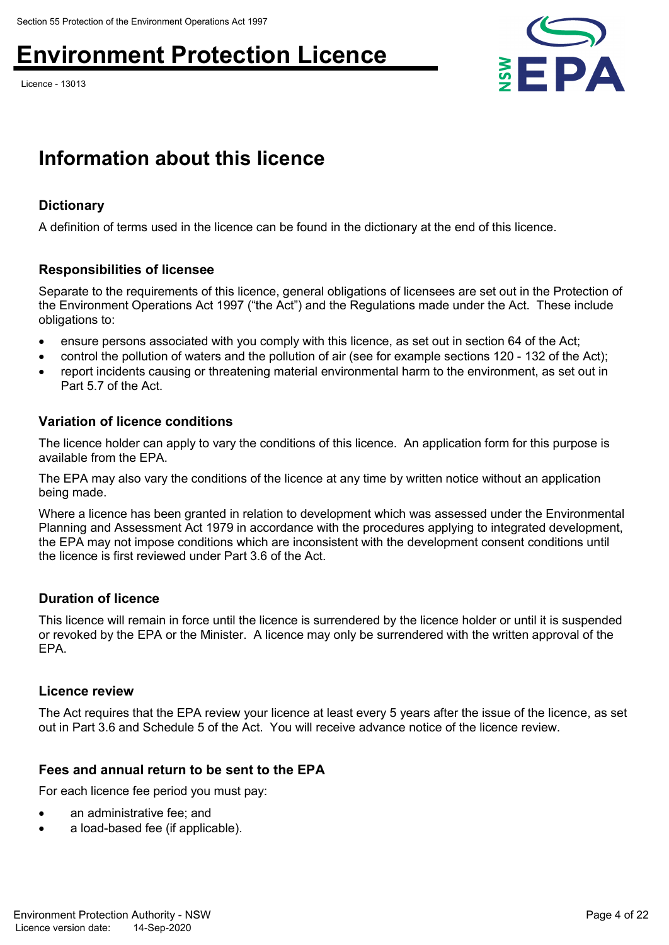Licence - 13013



### **Information about this licence**

### **Dictionary**

A definition of terms used in the licence can be found in the dictionary at the end of this licence.

### **Responsibilities of licensee**

Separate to the requirements of this licence, general obligations of licensees are set out in the Protection of the Environment Operations Act 1997 ("the Act") and the Regulations made under the Act. These include obligations to:

- ensure persons associated with you comply with this licence, as set out in section 64 of the Act;
- control the pollution of waters and the pollution of air (see for example sections 120 132 of the Act);
- report incidents causing or threatening material environmental harm to the environment, as set out in Part 5.7 of the Act.

#### **Variation of licence conditions**

The licence holder can apply to vary the conditions of this licence. An application form for this purpose is available from the EPA.

The EPA may also vary the conditions of the licence at any time by written notice without an application being made.

Where a licence has been granted in relation to development which was assessed under the Environmental Planning and Assessment Act 1979 in accordance with the procedures applying to integrated development, the EPA may not impose conditions which are inconsistent with the development consent conditions until the licence is first reviewed under Part 3.6 of the Act.

### **Duration of licence**

This licence will remain in force until the licence is surrendered by the licence holder or until it is suspended or revoked by the EPA or the Minister. A licence may only be surrendered with the written approval of the EPA.

#### **Licence review**

The Act requires that the EPA review your licence at least every 5 years after the issue of the licence, as set out in Part 3.6 and Schedule 5 of the Act. You will receive advance notice of the licence review.

### **Fees and annual return to be sent to the EPA**

For each licence fee period you must pay:

- an administrative fee; and
- a load-based fee (if applicable).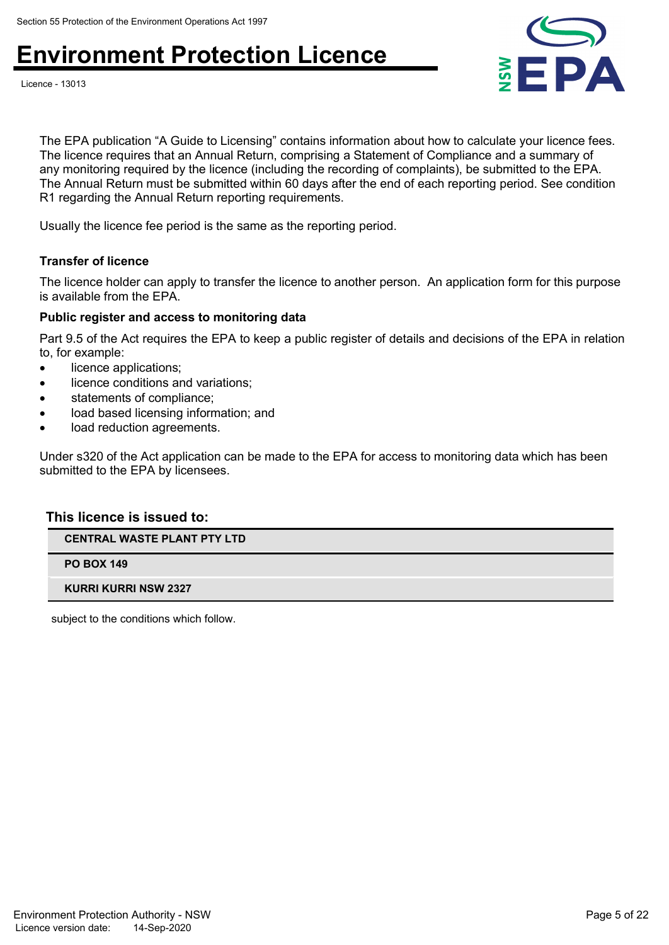



The EPA publication "A Guide to Licensing" contains information about how to calculate your licence fees. The licence requires that an Annual Return, comprising a Statement of Compliance and a summary of any monitoring required by the licence (including the recording of complaints), be submitted to the EPA. The Annual Return must be submitted within 60 days after the end of each reporting period. See condition R1 regarding the Annual Return reporting requirements.

Usually the licence fee period is the same as the reporting period.

#### **Transfer of licence**

The licence holder can apply to transfer the licence to another person. An application form for this purpose is available from the EPA.

#### **Public register and access to monitoring data**

Part 9.5 of the Act requires the EPA to keep a public register of details and decisions of the EPA in relation to, for example:

- licence applications;
- licence conditions and variations;
- statements of compliance;
- load based licensing information; and
- load reduction agreements.

Under s320 of the Act application can be made to the EPA for access to monitoring data which has been submitted to the EPA by licensees.

#### **This licence is issued to:**

**CENTRAL WASTE PLANT PTY LTD**

**PO BOX 149**

**KURRI KURRI NSW 2327**

subject to the conditions which follow.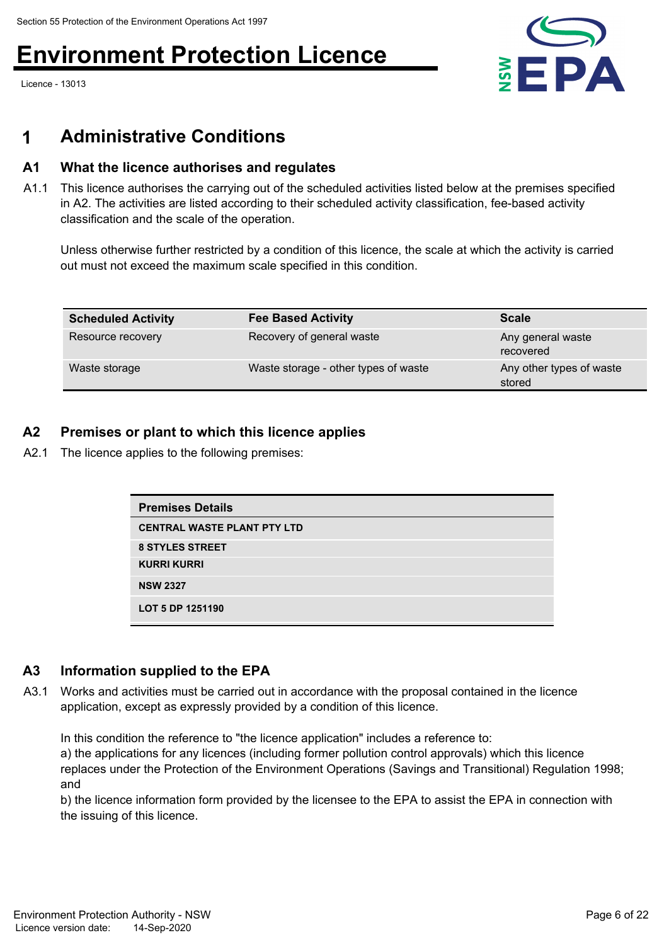Licence - 13013



### **1 Administrative Conditions**

### **A1 What the licence authorises and regulates**

A1.1 This licence authorises the carrying out of the scheduled activities listed below at the premises specified in A2. The activities are listed according to their scheduled activity classification, fee-based activity classification and the scale of the operation.

Unless otherwise further restricted by a condition of this licence, the scale at which the activity is carried out must not exceed the maximum scale specified in this condition.

| <b>Scheduled Activity</b> | <b>Fee Based Activity</b>            | <b>Scale</b>                       |
|---------------------------|--------------------------------------|------------------------------------|
| Resource recovery         | Recovery of general waste            | Any general waste<br>recovered     |
| Waste storage             | Waste storage - other types of waste | Any other types of waste<br>stored |

### **A2 Premises or plant to which this licence applies**

A2.1 The licence applies to the following premises:

| <b>Premises Details</b>            |
|------------------------------------|
| <b>CENTRAL WASTE PLANT PTY LTD</b> |
| <b>8 STYLES STREET</b>             |
| <b>KURRI KURRI</b>                 |
| <b>NSW 2327</b>                    |
| LOT 5 DP 1251190                   |

### **A3 Information supplied to the EPA**

A3.1 Works and activities must be carried out in accordance with the proposal contained in the licence application, except as expressly provided by a condition of this licence.

In this condition the reference to "the licence application" includes a reference to:

a) the applications for any licences (including former pollution control approvals) which this licence replaces under the Protection of the Environment Operations (Savings and Transitional) Regulation 1998; and

b) the licence information form provided by the licensee to the EPA to assist the EPA in connection with the issuing of this licence.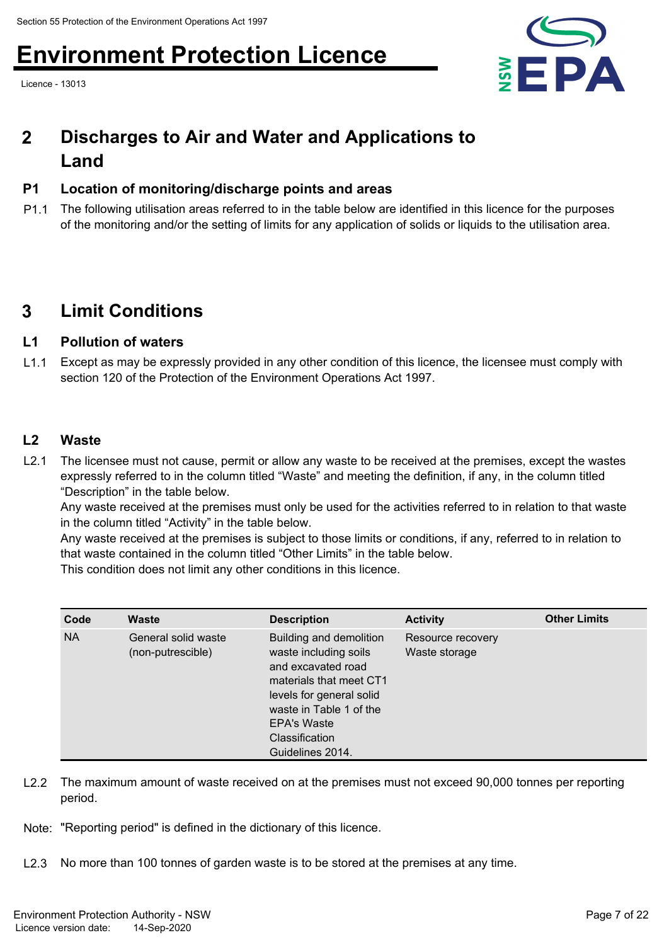Licence - 13013



#### **Discharges to Air and Water and Applications to Land 2**

### **P1 Location of monitoring/discharge points and areas**

P1.1 The following utilisation areas referred to in the table below are identified in this licence for the purposes of the monitoring and/or the setting of limits for any application of solids or liquids to the utilisation area.

### **3 Limit Conditions**

### **L1 Pollution of waters**

L1.1 Except as may be expressly provided in any other condition of this licence, the licensee must comply with section 120 of the Protection of the Environment Operations Act 1997.

### **L2 Waste**

L2.1 The licensee must not cause, permit or allow any waste to be received at the premises, except the wastes expressly referred to in the column titled "Waste" and meeting the definition, if any, in the column titled "Description" in the table below.

Any waste received at the premises must only be used for the activities referred to in relation to that waste in the column titled "Activity" in the table below.

Any waste received at the premises is subject to those limits or conditions, if any, referred to in relation to that waste contained in the column titled "Other Limits" in the table below.

This condition does not limit any other conditions in this licence.

| Code      | Waste                                    | <b>Description</b>                                                                                                                                                                                                          | <b>Activity</b>                    | <b>Other Limits</b> |
|-----------|------------------------------------------|-----------------------------------------------------------------------------------------------------------------------------------------------------------------------------------------------------------------------------|------------------------------------|---------------------|
| <b>NA</b> | General solid waste<br>(non-putrescible) | Building and demolition<br>waste including soils<br>and excavated road<br>materials that meet CT1<br>levels for general solid<br>waste in Table 1 of the<br><b>EPA's Waste</b><br><b>Classification</b><br>Guidelines 2014. | Resource recovery<br>Waste storage |                     |

- L2.2 The maximum amount of waste received on at the premises must not exceed 90,000 tonnes per reporting period.
- Note: "Reporting period" is defined in the dictionary of this licence.
- L2.3 No more than 100 tonnes of garden waste is to be stored at the premises at any time.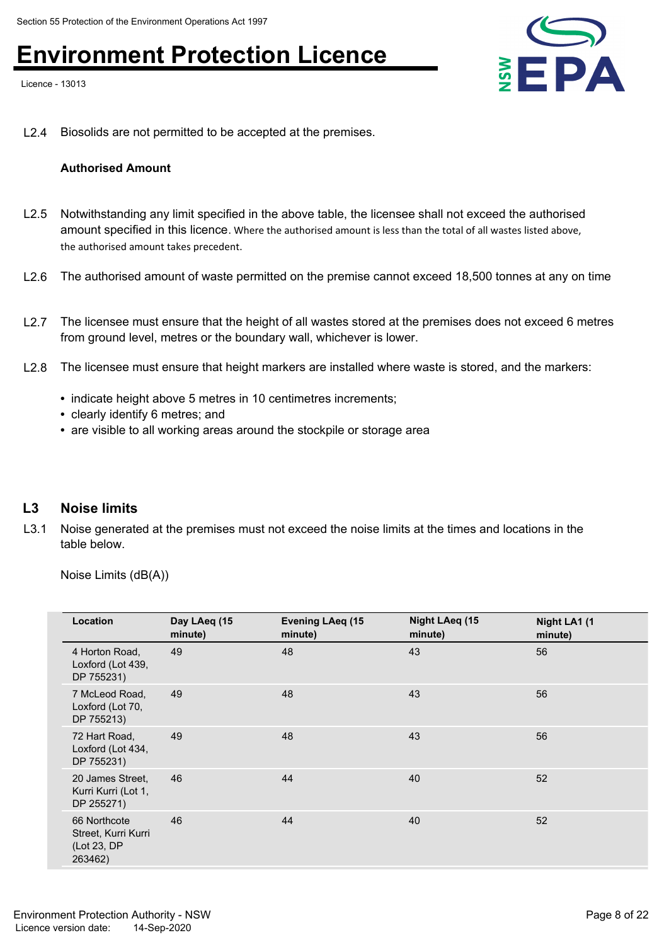Licence - 13013



L2.4 Biosolids are not permitted to be accepted at the premises.

#### **Authorised Amount**

- L2.5 Notwithstanding any limit specified in the above table, the licensee shall not exceed the authorised amount specified in this licence. Where the authorised amount is less than the total of all wastes listed above, the authorised amount takes precedent.
- L2.6 The authorised amount of waste permitted on the premise cannot exceed 18,500 tonnes at any on time
- L2.7 The licensee must ensure that the height of all wastes stored at the premises does not exceed 6 metres from ground level, metres or the boundary wall, whichever is lower.
- L2.8 The licensee must ensure that height markers are installed where waste is stored, and the markers:
	- indicate height above 5 metres in 10 centimetres increments;
	- clearly identify 6 metres; and
	- are visible to all working areas around the stockpile or storage area

#### **L3 Noise limits**

L3.1 Noise generated at the premises must not exceed the noise limits at the times and locations in the table below.

Noise Limits (dB(A))

| Location                                                      | Day LAeq (15<br>minute) | <b>Evening LAeq (15</b><br>minute) | Night LAeq (15<br>minute) | Night LA1 (1<br>minute) |
|---------------------------------------------------------------|-------------------------|------------------------------------|---------------------------|-------------------------|
| 4 Horton Road,<br>Loxford (Lot 439,<br>DP 755231)             | 49                      | 48                                 | 43                        | 56                      |
| 7 McLeod Road,<br>Loxford (Lot 70,<br>DP 755213)              | 49                      | 48                                 | 43                        | 56                      |
| 72 Hart Road,<br>Loxford (Lot 434,<br>DP 755231)              | 49                      | 48                                 | 43                        | 56                      |
| 20 James Street.<br>Kurri Kurri (Lot 1,<br>DP 255271)         | 46                      | 44                                 | 40                        | 52                      |
| 66 Northcote<br>Street, Kurri Kurri<br>(Lot 23, DP<br>263462) | 46                      | 44                                 | 40                        | 52                      |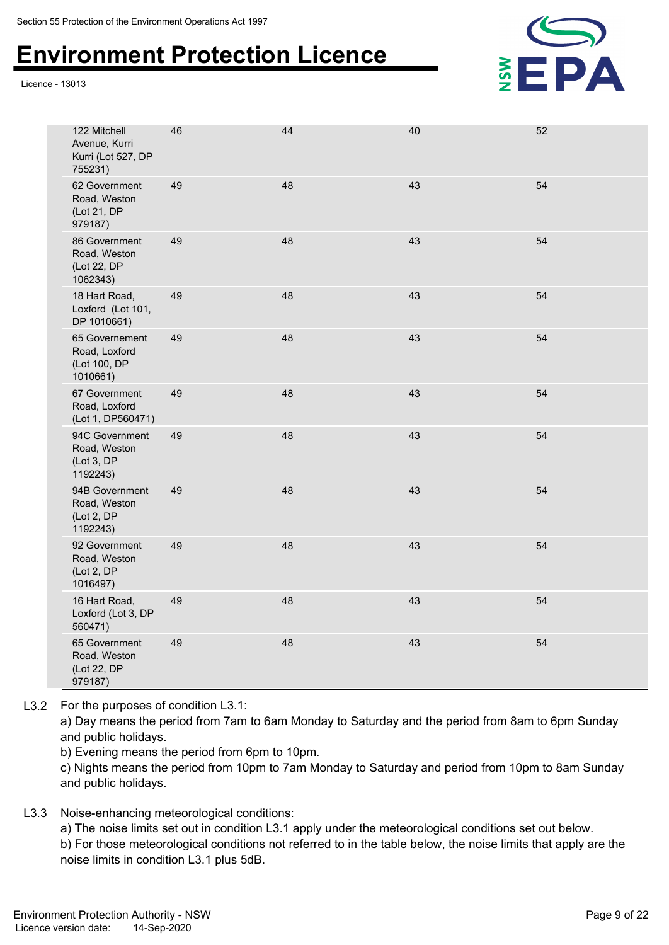Licence - 13013



| 122 Mitchell<br>Avenue, Kurri<br>Kurri (Lot 527, DP<br>755231) | 46 | 44 | 40 | 52 |
|----------------------------------------------------------------|----|----|----|----|
| 62 Government<br>Road, Weston<br>(Lot 21, DP<br>979187)        | 49 | 48 | 43 | 54 |
| 86 Government<br>Road, Weston<br>(Lot 22, DP<br>1062343)       | 49 | 48 | 43 | 54 |
| 18 Hart Road,<br>Loxford (Lot 101,<br>DP 1010661)              | 49 | 48 | 43 | 54 |
| 65 Governement<br>Road, Loxford<br>(Lot 100, DP<br>1010661)    | 49 | 48 | 43 | 54 |
| 67 Government<br>Road, Loxford<br>(Lot 1, DP560471)            | 49 | 48 | 43 | 54 |
| 94C Government<br>Road, Weston<br>(Lot 3, DP<br>1192243)       | 49 | 48 | 43 | 54 |
| 94B Government<br>Road, Weston<br>(Lot 2, DP<br>1192243)       | 49 | 48 | 43 | 54 |
| 92 Government<br>Road, Weston<br>(Lot 2, DP<br>1016497)        | 49 | 48 | 43 | 54 |
| 16 Hart Road,<br>Loxford (Lot 3, DP<br>560471)                 | 49 | 48 | 43 | 54 |
| 65 Government<br>Road, Weston<br>(Lot 22, DP<br>979187)        | 49 | 48 | 43 | 54 |

L3.2 For the purposes of condition L3.1:

a) Day means the period from 7am to 6am Monday to Saturday and the period from 8am to 6pm Sunday and public holidays.

b) Evening means the period from 6pm to 10pm.

c) Nights means the period from 10pm to 7am Monday to Saturday and period from 10pm to 8am Sunday and public holidays.

L3.3 Noise-enhancing meteorological conditions:

a) The noise limits set out in condition L3.1 apply under the meteorological conditions set out below.

b) For those meteorological conditions not referred to in the table below, the noise limits that apply are the noise limits in condition L3.1 plus 5dB.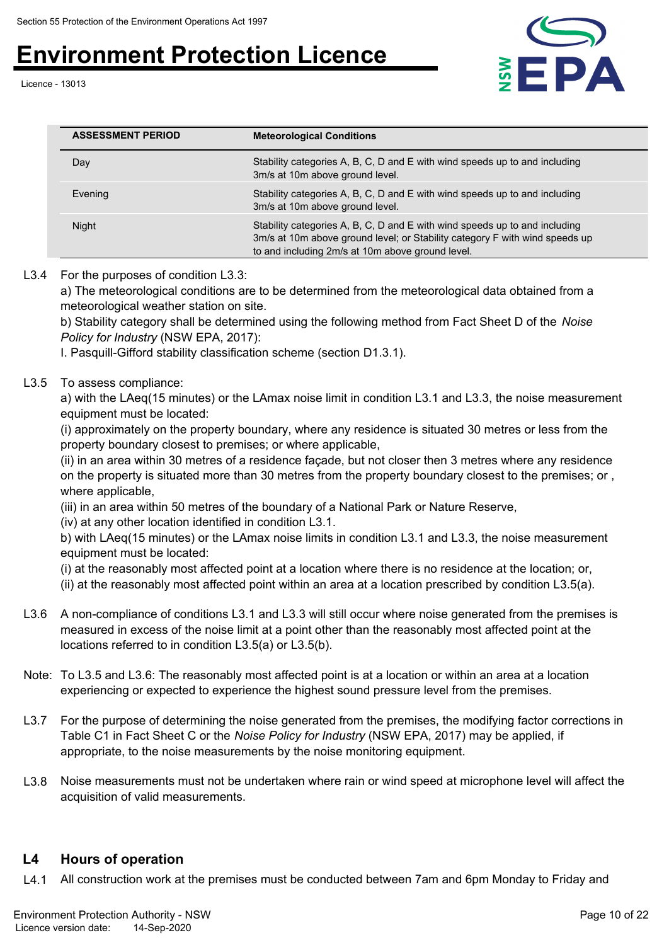Licence - 13013



| <b>ASSESSMENT PERIOD</b> | <b>Meteorological Conditions</b>                                                                                                                                                                              |
|--------------------------|---------------------------------------------------------------------------------------------------------------------------------------------------------------------------------------------------------------|
| Day                      | Stability categories A, B, C, D and E with wind speeds up to and including<br>3m/s at 10m above ground level.                                                                                                 |
| Evening                  | Stability categories A, B, C, D and E with wind speeds up to and including<br>3m/s at 10m above ground level.                                                                                                 |
| Night                    | Stability categories A, B, C, D and E with wind speeds up to and including<br>3m/s at 10m above ground level; or Stability category F with wind speeds up<br>to and including 2m/s at 10m above ground level. |

#### L3.4 For the purposes of condition L3.3:

a) The meteorological conditions are to be determined from the meteorological data obtained from a meteorological weather station on site.

b) Stability category shall be determined using the following method from Fact Sheet D of the *Noise Policy for Industry* (NSW EPA, 2017):

I. Pasquill-Gifford stability classification scheme (section D1.3.1).

#### L3.5 To assess compliance:

a) with the LAeq(15 minutes) or the LAmax noise limit in condition L3.1 and L3.3, the noise measurement equipment must be located:

(i) approximately on the property boundary, where any residence is situated 30 metres or less from the property boundary closest to premises; or where applicable,

(ii) in an area within 30 metres of a residence façade, but not closer then 3 metres where any residence on the property is situated more than 30 metres from the property boundary closest to the premises; or , where applicable,

(iii) in an area within 50 metres of the boundary of a National Park or Nature Reserve,

(iv) at any other location identified in condition L3.1.

b) with LAeq(15 minutes) or the LAmax noise limits in condition L3.1 and L3.3, the noise measurement equipment must be located:

(i) at the reasonably most affected point at a location where there is no residence at the location; or,

(ii) at the reasonably most affected point within an area at a location prescribed by condition L3.5(a).

- L3.6 A non-compliance of conditions L3.1 and L3.3 will still occur where noise generated from the premises is measured in excess of the noise limit at a point other than the reasonably most affected point at the locations referred to in condition L3.5(a) or L3.5(b).
- Note: To L3.5 and L3.6: The reasonably most affected point is at a location or within an area at a location experiencing or expected to experience the highest sound pressure level from the premises.
- L3.7 For the purpose of determining the noise generated from the premises, the modifying factor corrections in Table C1 in Fact Sheet C or the *Noise Policy for Industry* (NSW EPA, 2017) may be applied, if appropriate, to the noise measurements by the noise monitoring equipment.
- L3.8 Noise measurements must not be undertaken where rain or wind speed at microphone level will affect the acquisition of valid measurements.

### **L4 Hours of operation**

L4.1 All construction work at the premises must be conducted between 7am and 6pm Monday to Friday and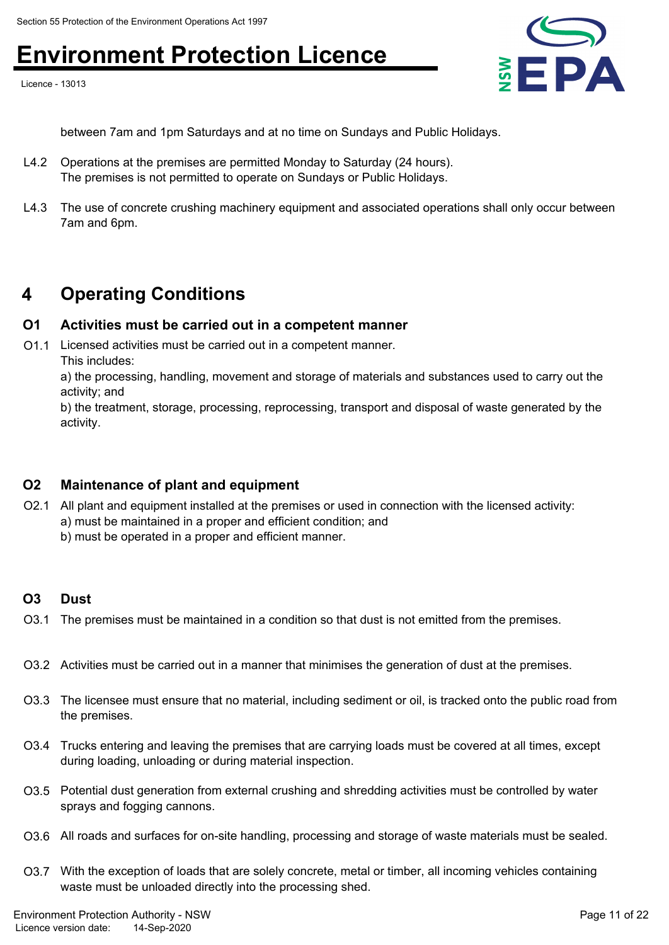Licence - 13013



between 7am and 1pm Saturdays and at no time on Sundays and Public Holidays.

- L4.2 Operations at the premises are permitted Monday to Saturday (24 hours). The premises is not permitted to operate on Sundays or Public Holidays.
- L4.3 The use of concrete crushing machinery equipment and associated operations shall only occur between 7am and 6pm.

### **4 Operating Conditions**

### **O1 Activities must be carried out in a competent manner**

O1.1 Licensed activities must be carried out in a competent manner. This includes:

a) the processing, handling, movement and storage of materials and substances used to carry out the activity; and

b) the treatment, storage, processing, reprocessing, transport and disposal of waste generated by the activity.

### **O2 Maintenance of plant and equipment**

- O2.1 All plant and equipment installed at the premises or used in connection with the licensed activity: a) must be maintained in a proper and efficient condition; and
	- b) must be operated in a proper and efficient manner.

### **O3 Dust**

- O3.1 The premises must be maintained in a condition so that dust is not emitted from the premises.
- O3.2 Activities must be carried out in a manner that minimises the generation of dust at the premises.
- O3.3 The licensee must ensure that no material, including sediment or oil, is tracked onto the public road from the premises.
- O3.4 Trucks entering and leaving the premises that are carrying loads must be covered at all times, except during loading, unloading or during material inspection.
- O3.5 Potential dust generation from external crushing and shredding activities must be controlled by water sprays and fogging cannons.
- O3.6 All roads and surfaces for on-site handling, processing and storage of waste materials must be sealed.
- O3.7 With the exception of loads that are solely concrete, metal or timber, all incoming vehicles containing waste must be unloaded directly into the processing shed.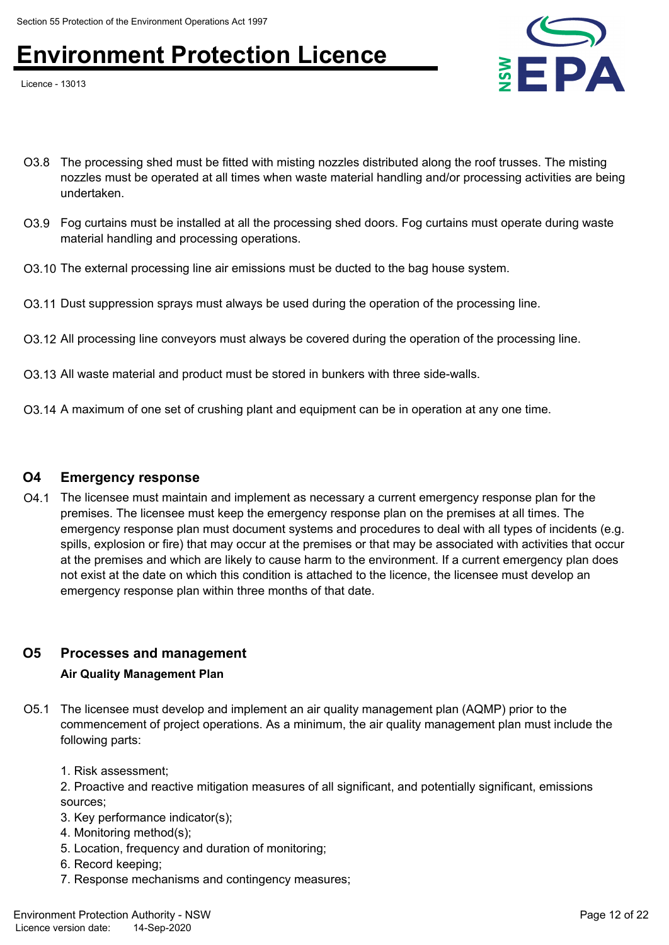Licence - 13013



- O3.8 The processing shed must be fitted with misting nozzles distributed along the roof trusses. The misting nozzles must be operated at all times when waste material handling and/or processing activities are being undertaken.
- O3.9 Fog curtains must be installed at all the processing shed doors. Fog curtains must operate during waste material handling and processing operations.
- O3.10 The external processing line air emissions must be ducted to the bag house system.
- O3.11 Dust suppression sprays must always be used during the operation of the processing line.
- O3.12 All processing line conveyors must always be covered during the operation of the processing line.
- O3.13 All waste material and product must be stored in bunkers with three side-walls.
- O3.14 A maximum of one set of crushing plant and equipment can be in operation at any one time.

#### **O4 Emergency response**

O4.1 The licensee must maintain and implement as necessary a current emergency response plan for the premises. The licensee must keep the emergency response plan on the premises at all times. The emergency response plan must document systems and procedures to deal with all types of incidents (e.g. spills, explosion or fire) that may occur at the premises or that may be associated with activities that occur at the premises and which are likely to cause harm to the environment. If a current emergency plan does not exist at the date on which this condition is attached to the licence, the licensee must develop an emergency response plan within three months of that date.

### **O5 Processes and management**

#### **Air Quality Management Plan**

- O5.1 The licensee must develop and implement an air quality management plan (AQMP) prior to the commencement of project operations. As a minimum, the air quality management plan must include the following parts:
	- 1. Risk assessment;
	- 2. Proactive and reactive mitigation measures of all significant, and potentially significant, emissions sources;
	- 3. Key performance indicator(s);
	- 4. Monitoring method(s);
	- 5. Location, frequency and duration of monitoring;
	- 6. Record keeping;
	- 7. Response mechanisms and contingency measures;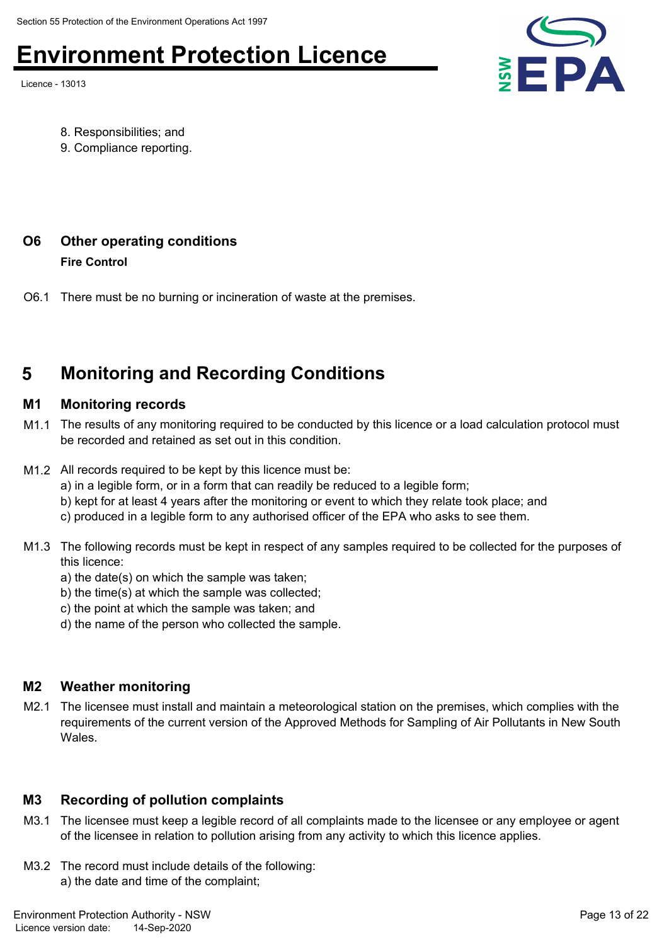Licence - 13013



- 8. Responsibilities; and
- 9. Compliance reporting.

### **O6 Other operating conditions**

**Fire Control**

O6.1 There must be no burning or incineration of waste at the premises.

### **5 Monitoring and Recording Conditions**

#### **M1 Monitoring records**

- M1.1 The results of any monitoring required to be conducted by this licence or a load calculation protocol must be recorded and retained as set out in this condition.
- M1.2 All records required to be kept by this licence must be:
	- a) in a legible form, or in a form that can readily be reduced to a legible form;
	- b) kept for at least 4 years after the monitoring or event to which they relate took place; and
	- c) produced in a legible form to any authorised officer of the EPA who asks to see them.
- M1.3 The following records must be kept in respect of any samples required to be collected for the purposes of this licence:
	- a) the date(s) on which the sample was taken;
	- b) the time(s) at which the sample was collected;
	- c) the point at which the sample was taken; and
	- d) the name of the person who collected the sample.

### **M2 Weather monitoring**

M2.1 The licensee must install and maintain a meteorological station on the premises, which complies with the requirements of the current version of the Approved Methods for Sampling of Air Pollutants in New South Wales.

### **M3 Recording of pollution complaints**

- M3.1 The licensee must keep a legible record of all complaints made to the licensee or any employee or agent of the licensee in relation to pollution arising from any activity to which this licence applies.
- M3.2 The record must include details of the following: a) the date and time of the complaint;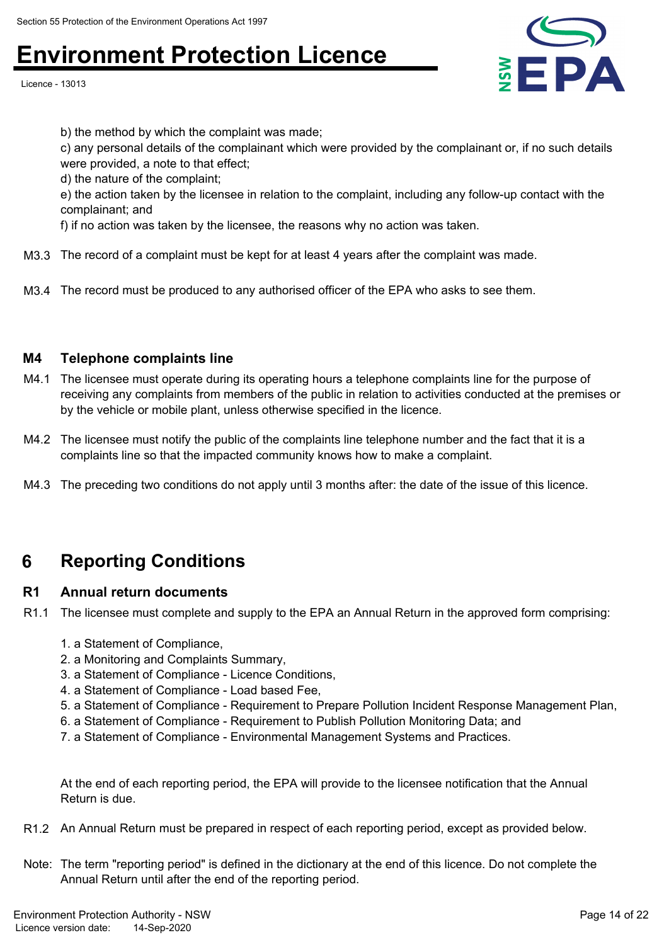Licence - 13013



b) the method by which the complaint was made;

c) any personal details of the complainant which were provided by the complainant or, if no such details were provided, a note to that effect;

d) the nature of the complaint;

e) the action taken by the licensee in relation to the complaint, including any follow-up contact with the complainant; and

f) if no action was taken by the licensee, the reasons why no action was taken.

- M3.3 The record of a complaint must be kept for at least 4 years after the complaint was made.
- M3.4 The record must be produced to any authorised officer of the EPA who asks to see them.

#### **M4 Telephone complaints line**

- M4.1 The licensee must operate during its operating hours a telephone complaints line for the purpose of receiving any complaints from members of the public in relation to activities conducted at the premises or by the vehicle or mobile plant, unless otherwise specified in the licence.
- M4.2 The licensee must notify the public of the complaints line telephone number and the fact that it is a complaints line so that the impacted community knows how to make a complaint.
- M4.3 The preceding two conditions do not apply until 3 months after: the date of the issue of this licence.

### **6 Reporting Conditions**

#### **R1 Annual return documents**

- R1.1 The licensee must complete and supply to the EPA an Annual Return in the approved form comprising:
	- 1. a Statement of Compliance,
	- 2. a Monitoring and Complaints Summary,
	- 3. a Statement of Compliance Licence Conditions,
	- 4. a Statement of Compliance Load based Fee,
	- 5. a Statement of Compliance Requirement to Prepare Pollution Incident Response Management Plan,
	- 6. a Statement of Compliance Requirement to Publish Pollution Monitoring Data; and
	- 7. a Statement of Compliance Environmental Management Systems and Practices.

At the end of each reporting period, the EPA will provide to the licensee notification that the Annual Return is due.

- R1.2 An Annual Return must be prepared in respect of each reporting period, except as provided below.
- Note: The term "reporting period" is defined in the dictionary at the end of this licence. Do not complete the Annual Return until after the end of the reporting period.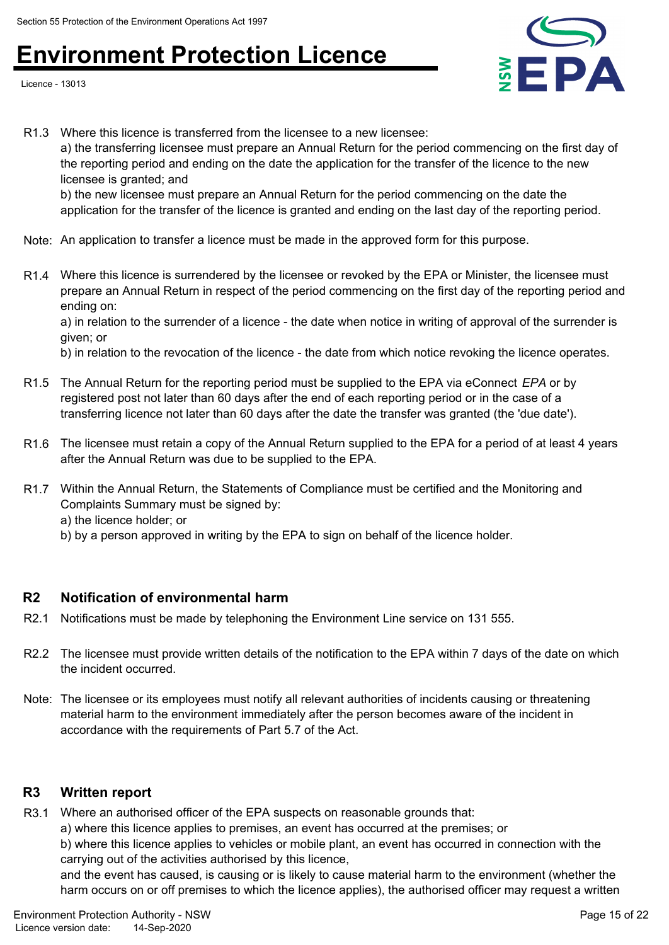Licence - 13013



R1.3 Where this licence is transferred from the licensee to a new licensee: a) the transferring licensee must prepare an Annual Return for the period commencing on the first day of the reporting period and ending on the date the application for the transfer of the licence to the new licensee is granted; and

b) the new licensee must prepare an Annual Return for the period commencing on the date the application for the transfer of the licence is granted and ending on the last day of the reporting period.

- Note: An application to transfer a licence must be made in the approved form for this purpose.
- R1.4 Where this licence is surrendered by the licensee or revoked by the EPA or Minister, the licensee must prepare an Annual Return in respect of the period commencing on the first day of the reporting period and ending on:

a) in relation to the surrender of a licence - the date when notice in writing of approval of the surrender is given; or

b) in relation to the revocation of the licence - the date from which notice revoking the licence operates.

- R1.5 The Annual Return for the reporting period must be supplied to the EPA via eConnect *EPA* or by registered post not later than 60 days after the end of each reporting period or in the case of a transferring licence not later than 60 days after the date the transfer was granted (the 'due date').
- R1.6 The licensee must retain a copy of the Annual Return supplied to the EPA for a period of at least 4 years after the Annual Return was due to be supplied to the EPA.
- R1.7 Within the Annual Return, the Statements of Compliance must be certified and the Monitoring and Complaints Summary must be signed by:

a) the licence holder; or

b) by a person approved in writing by the EPA to sign on behalf of the licence holder.

### **R2 Notification of environmental harm**

- R2.1 Notifications must be made by telephoning the Environment Line service on 131 555.
- R2.2 The licensee must provide written details of the notification to the EPA within 7 days of the date on which the incident occurred.
- Note: The licensee or its employees must notify all relevant authorities of incidents causing or threatening material harm to the environment immediately after the person becomes aware of the incident in accordance with the requirements of Part 5.7 of the Act.

### **R3 Written report**

R3.1 Where an authorised officer of the EPA suspects on reasonable grounds that:

a) where this licence applies to premises, an event has occurred at the premises; or

b) where this licence applies to vehicles or mobile plant, an event has occurred in connection with the carrying out of the activities authorised by this licence,

and the event has caused, is causing or is likely to cause material harm to the environment (whether the harm occurs on or off premises to which the licence applies), the authorised officer may request a written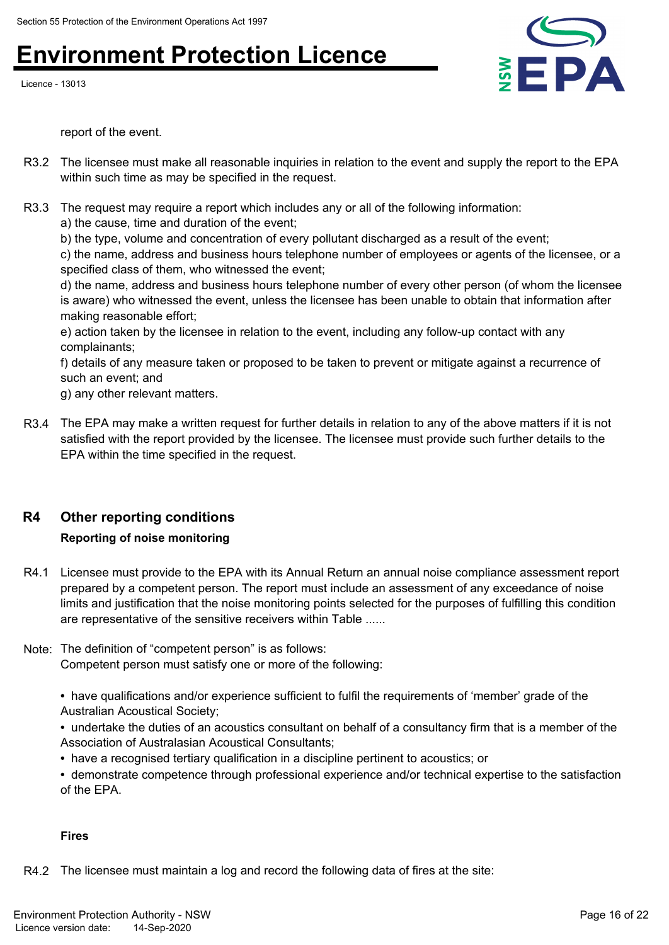Licence - 13013



report of the event.

- R3.2 The licensee must make all reasonable inquiries in relation to the event and supply the report to the EPA within such time as may be specified in the request.
- R3.3 The request may require a report which includes any or all of the following information:

a) the cause, time and duration of the event;

b) the type, volume and concentration of every pollutant discharged as a result of the event;

c) the name, address and business hours telephone number of employees or agents of the licensee, or a specified class of them, who witnessed the event;

d) the name, address and business hours telephone number of every other person (of whom the licensee is aware) who witnessed the event, unless the licensee has been unable to obtain that information after making reasonable effort;

e) action taken by the licensee in relation to the event, including any follow-up contact with any complainants;

f) details of any measure taken or proposed to be taken to prevent or mitigate against a recurrence of such an event; and

g) any other relevant matters.

R3.4 The EPA may make a written request for further details in relation to any of the above matters if it is not satisfied with the report provided by the licensee. The licensee must provide such further details to the EPA within the time specified in the request.

### **R4 Other reporting conditions**

### **Reporting of noise monitoring**

- R4.1 Licensee must provide to the EPA with its Annual Return an annual noise compliance assessment report prepared by a competent person. The report must include an assessment of any exceedance of noise limits and justification that the noise monitoring points selected for the purposes of fulfilling this condition are representative of the sensitive receivers within Table ......
- Note: The definition of "competent person" is as follows:

Competent person must satisfy one or more of the following:

- have qualifications and/or experience sufficient to fulfil the requirements of 'member' grade of the Australian Acoustical Society;
- undertake the duties of an acoustics consultant on behalf of a consultancy firm that is a member of the Association of Australasian Acoustical Consultants;
- have a recognised tertiary qualification in a discipline pertinent to acoustics; or
- demonstrate competence through professional experience and/or technical expertise to the satisfaction of the EPA.

### **Fires**

R4.2 The licensee must maintain a log and record the following data of fires at the site: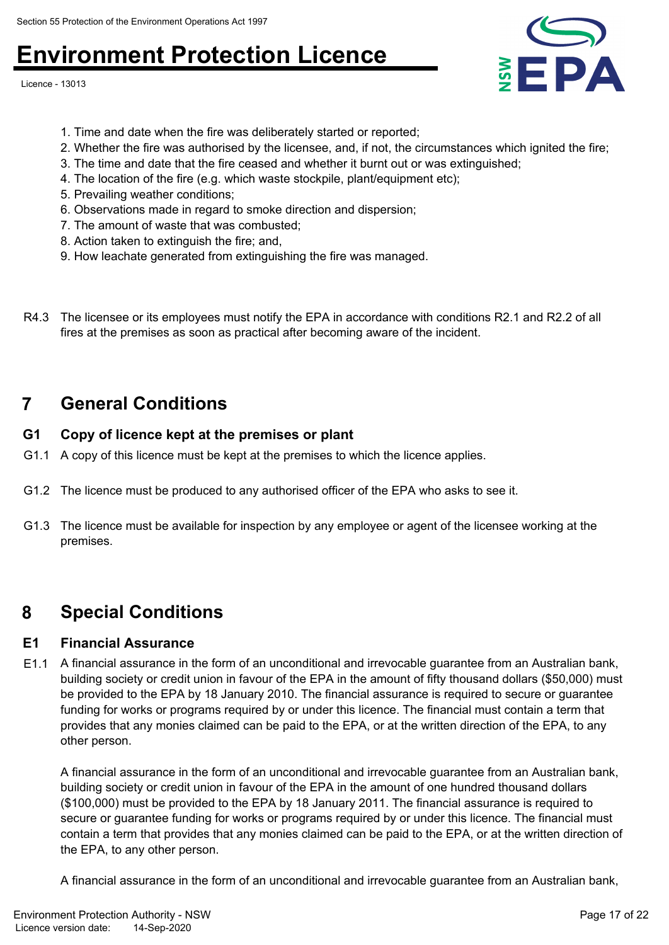Licence - 13013



- 1. Time and date when the fire was deliberately started or reported;
- 2. Whether the fire was authorised by the licensee, and, if not, the circumstances which ignited the fire;
- 3. The time and date that the fire ceased and whether it burnt out or was extinguished;
- 4. The location of the fire (e.g. which waste stockpile, plant/equipment etc);
- 5. Prevailing weather conditions;
- 6. Observations made in regard to smoke direction and dispersion;
- 7. The amount of waste that was combusted;
- 8. Action taken to extinguish the fire; and,
- 9. How leachate generated from extinguishing the fire was managed.
- R4.3 The licensee or its employees must notify the EPA in accordance with conditions R2.1 and R2.2 of all fires at the premises as soon as practical after becoming aware of the incident.

### **7 General Conditions**

### **G1 Copy of licence kept at the premises or plant**

- G1.1 A copy of this licence must be kept at the premises to which the licence applies.
- G1.2 The licence must be produced to any authorised officer of the EPA who asks to see it.
- G1.3 The licence must be available for inspection by any employee or agent of the licensee working at the premises.

### **8 Special Conditions**

### **E1 Financial Assurance**

E1.1 A financial assurance in the form of an unconditional and irrevocable guarantee from an Australian bank, building society or credit union in favour of the EPA in the amount of fifty thousand dollars (\$50,000) must be provided to the EPA by 18 January 2010. The financial assurance is required to secure or guarantee funding for works or programs required by or under this licence. The financial must contain a term that provides that any monies claimed can be paid to the EPA, or at the written direction of the EPA, to any other person.

A financial assurance in the form of an unconditional and irrevocable guarantee from an Australian bank, building society or credit union in favour of the EPA in the amount of one hundred thousand dollars (\$100,000) must be provided to the EPA by 18 January 2011. The financial assurance is required to secure or guarantee funding for works or programs required by or under this licence. The financial must contain a term that provides that any monies claimed can be paid to the EPA, or at the written direction of the EPA, to any other person.

A financial assurance in the form of an unconditional and irrevocable guarantee from an Australian bank,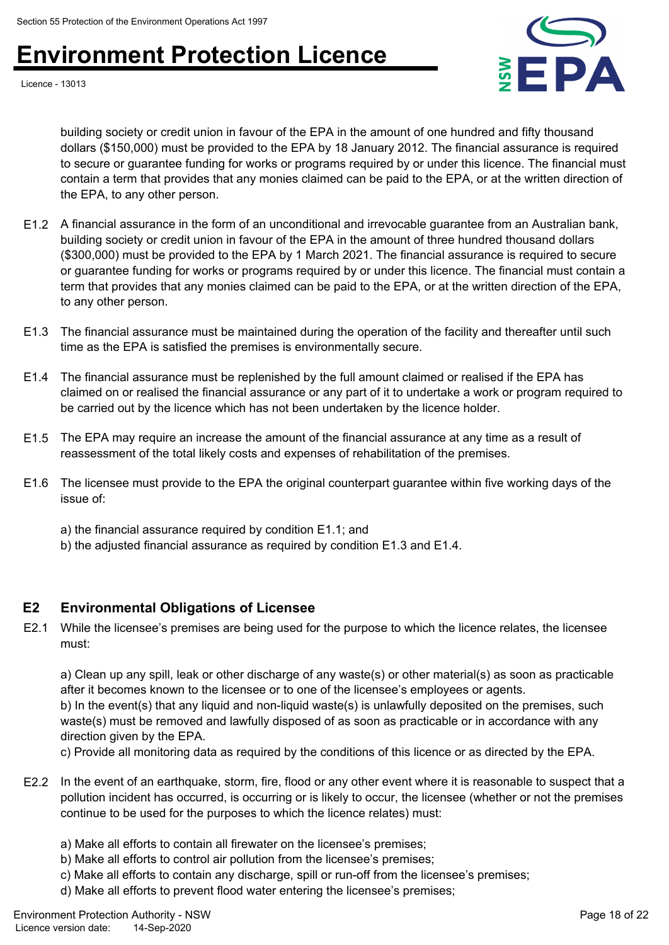

Licence - 13013

building society or credit union in favour of the EPA in the amount of one hundred and fifty thousand dollars (\$150,000) must be provided to the EPA by 18 January 2012. The financial assurance is required to secure or guarantee funding for works or programs required by or under this licence. The financial must contain a term that provides that any monies claimed can be paid to the EPA, or at the written direction of the EPA, to any other person.

- E1.2 A financial assurance in the form of an unconditional and irrevocable guarantee from an Australian bank, building society or credit union in favour of the EPA in the amount of three hundred thousand dollars (\$300,000) must be provided to the EPA by 1 March 2021. The financial assurance is required to secure or guarantee funding for works or programs required by or under this licence. The financial must contain a term that provides that any monies claimed can be paid to the EPA, or at the written direction of the EPA, to any other person.
- E1.3 The financial assurance must be maintained during the operation of the facility and thereafter until such time as the EPA is satisfied the premises is environmentally secure.
- E1.4 The financial assurance must be replenished by the full amount claimed or realised if the EPA has claimed on or realised the financial assurance or any part of it to undertake a work or program required to be carried out by the licence which has not been undertaken by the licence holder.
- E1.5 The EPA may require an increase the amount of the financial assurance at any time as a result of reassessment of the total likely costs and expenses of rehabilitation of the premises.
- E1.6 The licensee must provide to the EPA the original counterpart guarantee within five working days of the issue of:
	- a) the financial assurance required by condition E1.1; and
	- b) the adjusted financial assurance as required by condition E1.3 and E1.4.

### **E2 Environmental Obligations of Licensee**

E2.1 While the licensee's premises are being used for the purpose to which the licence relates, the licensee must:

a) Clean up any spill, leak or other discharge of any waste(s) or other material(s) as soon as practicable after it becomes known to the licensee or to one of the licensee's employees or agents.

b) In the event(s) that any liquid and non-liquid waste(s) is unlawfully deposited on the premises, such waste(s) must be removed and lawfully disposed of as soon as practicable or in accordance with any direction given by the EPA.

c) Provide all monitoring data as required by the conditions of this licence or as directed by the EPA.

- E2.2 In the event of an earthquake, storm, fire, flood or any other event where it is reasonable to suspect that a pollution incident has occurred, is occurring or is likely to occur, the licensee (whether or not the premises continue to be used for the purposes to which the licence relates) must:
	- a) Make all efforts to contain all firewater on the licensee's premises;
	- b) Make all efforts to control air pollution from the licensee's premises;
	- c) Make all efforts to contain any discharge, spill or run-off from the licensee's premises;
	- d) Make all efforts to prevent flood water entering the licensee's premises;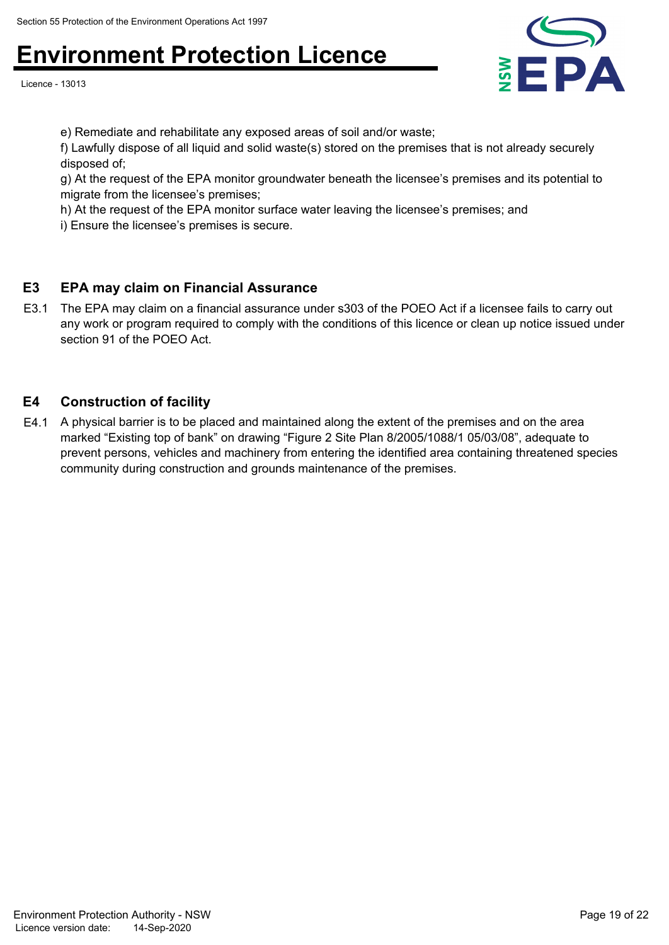Licence - 13013



e) Remediate and rehabilitate any exposed areas of soil and/or waste;

f) Lawfully dispose of all liquid and solid waste(s) stored on the premises that is not already securely disposed of;

g) At the request of the EPA monitor groundwater beneath the licensee's premises and its potential to migrate from the licensee's premises;

h) At the request of the EPA monitor surface water leaving the licensee's premises; and

i) Ensure the licensee's premises is secure.

### **E3 EPA may claim on Financial Assurance**

E3.1 The EPA may claim on a financial assurance under s303 of the POEO Act if a licensee fails to carry out any work or program required to comply with the conditions of this licence or clean up notice issued under section 91 of the POEO Act.

### **E4 Construction of facility**

E4.1 A physical barrier is to be placed and maintained along the extent of the premises and on the area marked "Existing top of bank" on drawing "Figure 2 Site Plan 8/2005/1088/1 05/03/08", adequate to prevent persons, vehicles and machinery from entering the identified area containing threatened species community during construction and grounds maintenance of the premises.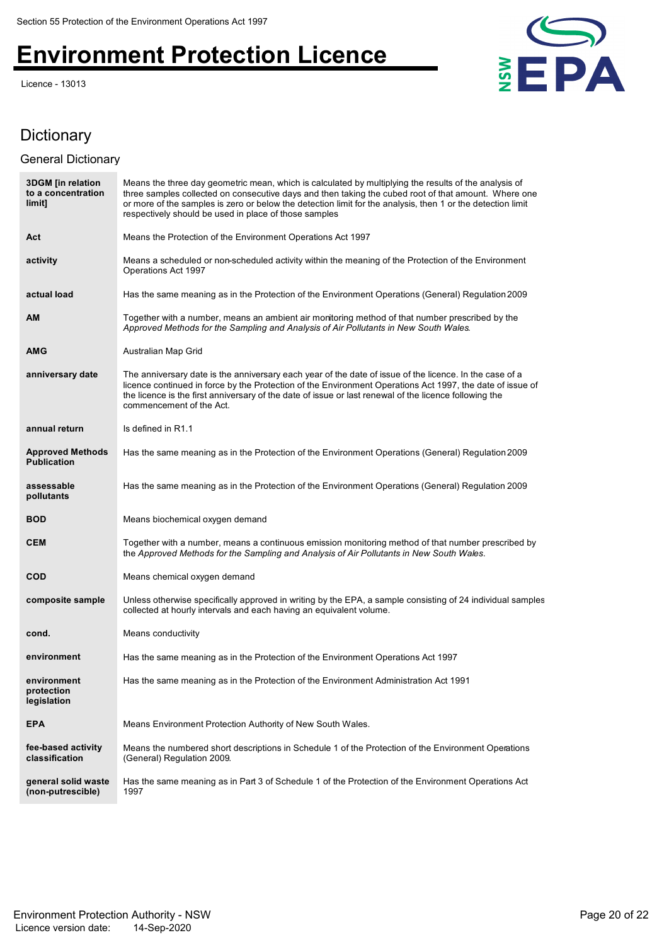Licence - 13013



### **Dictionary**

### General Dictionary

| <b>3DGM</b> [in relation<br>to a concentration<br>limit] | Means the three day geometric mean, which is calculated by multiplying the results of the analysis of<br>three samples collected on consecutive days and then taking the cubed root of that amount. Where one<br>or more of the samples is zero or below the detection limit for the analysis, then 1 or the detection limit<br>respectively should be used in place of those samples |
|----------------------------------------------------------|---------------------------------------------------------------------------------------------------------------------------------------------------------------------------------------------------------------------------------------------------------------------------------------------------------------------------------------------------------------------------------------|
| Act                                                      | Means the Protection of the Environment Operations Act 1997                                                                                                                                                                                                                                                                                                                           |
| activity                                                 | Means a scheduled or non-scheduled activity within the meaning of the Protection of the Environment<br>Operations Act 1997                                                                                                                                                                                                                                                            |
| actual load                                              | Has the same meaning as in the Protection of the Environment Operations (General) Regulation 2009                                                                                                                                                                                                                                                                                     |
| <b>AM</b>                                                | Together with a number, means an ambient air monitoring method of that number prescribed by the<br>Approved Methods for the Sampling and Analysis of Air Pollutants in New South Wales.                                                                                                                                                                                               |
| <b>AMG</b>                                               | Australian Map Grid                                                                                                                                                                                                                                                                                                                                                                   |
| anniversary date                                         | The anniversary date is the anniversary each year of the date of issue of the licence. In the case of a<br>licence continued in force by the Protection of the Environment Operations Act 1997, the date of issue of<br>the licence is the first anniversary of the date of issue or last renewal of the licence following the<br>commencement of the Act.                            |
| annual return                                            | Is defined in R1.1                                                                                                                                                                                                                                                                                                                                                                    |
| <b>Approved Methods</b><br><b>Publication</b>            | Has the same meaning as in the Protection of the Environment Operations (General) Regulation 2009                                                                                                                                                                                                                                                                                     |
| assessable<br>pollutants                                 | Has the same meaning as in the Protection of the Environment Operations (General) Regulation 2009                                                                                                                                                                                                                                                                                     |
| <b>BOD</b>                                               | Means biochemical oxygen demand                                                                                                                                                                                                                                                                                                                                                       |
| <b>CEM</b>                                               | Together with a number, means a continuous emission monitoring method of that number prescribed by<br>the Approved Methods for the Sampling and Analysis of Air Pollutants in New South Wales.                                                                                                                                                                                        |
| <b>COD</b>                                               | Means chemical oxygen demand                                                                                                                                                                                                                                                                                                                                                          |
| composite sample                                         | Unless otherwise specifically approved in writing by the EPA, a sample consisting of 24 individual samples<br>collected at hourly intervals and each having an equivalent volume.                                                                                                                                                                                                     |
| cond.                                                    | Means conductivity                                                                                                                                                                                                                                                                                                                                                                    |
| environment                                              | Has the same meaning as in the Protection of the Environment Operations Act 1997                                                                                                                                                                                                                                                                                                      |
| environment<br>protection<br>legislation                 | Has the same meaning as in the Protection of the Environment Administration Act 1991                                                                                                                                                                                                                                                                                                  |
| <b>EPA</b>                                               | Means Environment Protection Authority of New South Wales.                                                                                                                                                                                                                                                                                                                            |
| fee-based activity<br>classification                     | Means the numbered short descriptions in Schedule 1 of the Protection of the Environment Operations<br>(General) Regulation 2009.                                                                                                                                                                                                                                                     |
| general solid waste<br>(non-putrescible)                 | Has the same meaning as in Part 3 of Schedule 1 of the Protection of the Environment Operations Act<br>1997                                                                                                                                                                                                                                                                           |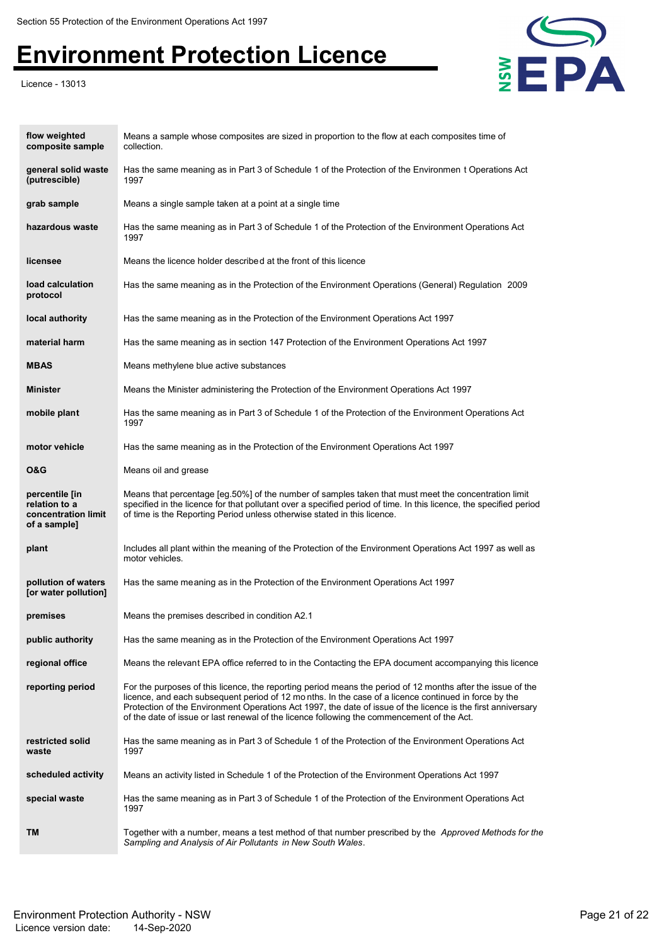Licence - 13013



| flow weighted<br>composite sample                                      | Means a sample whose composites are sized in proportion to the flow at each composites time of<br>collection.                                                                                                                                                                                                                                                                                                                     |
|------------------------------------------------------------------------|-----------------------------------------------------------------------------------------------------------------------------------------------------------------------------------------------------------------------------------------------------------------------------------------------------------------------------------------------------------------------------------------------------------------------------------|
| general solid waste<br>(putrescible)                                   | Has the same meaning as in Part 3 of Schedule 1 of the Protection of the Environmen t Operations Act<br>1997                                                                                                                                                                                                                                                                                                                      |
| grab sample                                                            | Means a single sample taken at a point at a single time                                                                                                                                                                                                                                                                                                                                                                           |
| hazardous waste                                                        | Has the same meaning as in Part 3 of Schedule 1 of the Protection of the Environment Operations Act<br>1997                                                                                                                                                                                                                                                                                                                       |
| licensee                                                               | Means the licence holder described at the front of this licence                                                                                                                                                                                                                                                                                                                                                                   |
| load calculation<br>protocol                                           | Has the same meaning as in the Protection of the Environment Operations (General) Regulation 2009                                                                                                                                                                                                                                                                                                                                 |
| local authority                                                        | Has the same meaning as in the Protection of the Environment Operations Act 1997                                                                                                                                                                                                                                                                                                                                                  |
| material harm                                                          | Has the same meaning as in section 147 Protection of the Environment Operations Act 1997                                                                                                                                                                                                                                                                                                                                          |
| <b>MBAS</b>                                                            | Means methylene blue active substances                                                                                                                                                                                                                                                                                                                                                                                            |
| <b>Minister</b>                                                        | Means the Minister administering the Protection of the Environment Operations Act 1997                                                                                                                                                                                                                                                                                                                                            |
| mobile plant                                                           | Has the same meaning as in Part 3 of Schedule 1 of the Protection of the Environment Operations Act<br>1997                                                                                                                                                                                                                                                                                                                       |
| motor vehicle                                                          | Has the same meaning as in the Protection of the Environment Operations Act 1997                                                                                                                                                                                                                                                                                                                                                  |
| O&G                                                                    | Means oil and grease                                                                                                                                                                                                                                                                                                                                                                                                              |
| percentile [in<br>relation to a<br>concentration limit<br>of a sample] | Means that percentage [eg.50%] of the number of samples taken that must meet the concentration limit<br>specified in the licence for that pollutant over a specified period of time. In this licence, the specified period<br>of time is the Reporting Period unless otherwise stated in this licence.                                                                                                                            |
| plant                                                                  | Includes all plant within the meaning of the Protection of the Environment Operations Act 1997 as well as<br>motor vehicles.                                                                                                                                                                                                                                                                                                      |
| pollution of waters<br>[or water pollution]                            | Has the same meaning as in the Protection of the Environment Operations Act 1997                                                                                                                                                                                                                                                                                                                                                  |
| premises                                                               | Means the premises described in condition A2.1                                                                                                                                                                                                                                                                                                                                                                                    |
| public authority                                                       | Has the same meaning as in the Protection of the Environment Operations Act 1997                                                                                                                                                                                                                                                                                                                                                  |
| regional office                                                        | Means the relevant EPA office referred to in the Contacting the EPA document accompanying this licence                                                                                                                                                                                                                                                                                                                            |
| reporting period                                                       | For the purposes of this licence, the reporting period means the period of 12 months after the issue of the<br>licence, and each subsequent period of 12 months. In the case of a licence continued in force by the<br>Protection of the Environment Operations Act 1997, the date of issue of the licence is the first anniversary<br>of the date of issue or last renewal of the licence following the commencement of the Act. |
| restricted solid<br>waste                                              | Has the same meaning as in Part 3 of Schedule 1 of the Protection of the Environment Operations Act<br>1997                                                                                                                                                                                                                                                                                                                       |
| scheduled activity                                                     | Means an activity listed in Schedule 1 of the Protection of the Environment Operations Act 1997                                                                                                                                                                                                                                                                                                                                   |
| special waste                                                          | Has the same meaning as in Part 3 of Schedule 1 of the Protection of the Environment Operations Act<br>1997                                                                                                                                                                                                                                                                                                                       |
| TM                                                                     | Together with a number, means a test method of that number prescribed by the Approved Methods for the<br>Sampling and Analysis of Air Pollutants in New South Wales.                                                                                                                                                                                                                                                              |